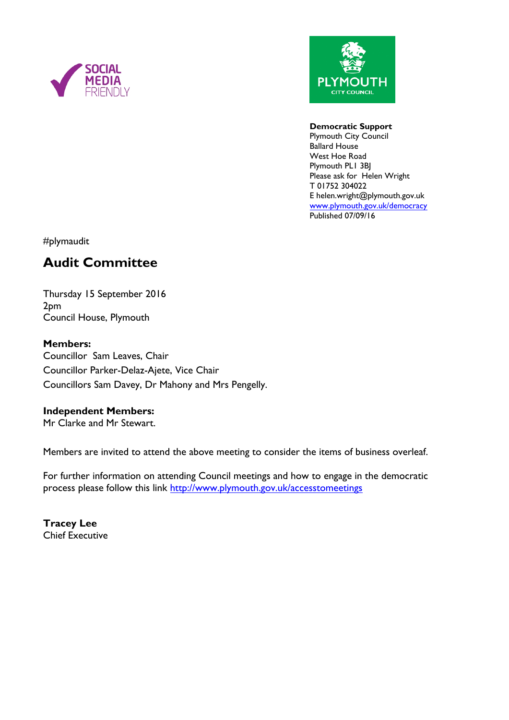



#### **Democratic Support**

Plymouth City Council Ballard House West Hoe Road Plymouth PL1 3BJ Please ask for Helen Wright T 01752 304022 E helen.wright@plymouth.gov.uk [www.plymouth.gov.uk/](http://www.plymouth.gov.uk/)democracy Published 07/09/16

#plymaudit

# **Audit Committee**

Thursday 15 September 2016 2pm Council House, Plymouth

### **Members:**

Councillor Sam Leaves, Chair Councillor Parker-Delaz-Ajete, Vice Chair Councillors Sam Davey, Dr Mahony and Mrs Pengelly.

#### **Independent Members:**

Mr Clarke and Mr Stewart.

Members are invited to attend the above meeting to consider the items of business overleaf.

For further information on attending Council meetings and how to engage in the democratic process please follow this link <http://www.plymouth.gov.uk/accesstomeetings>

**Tracey Lee** Chief Executive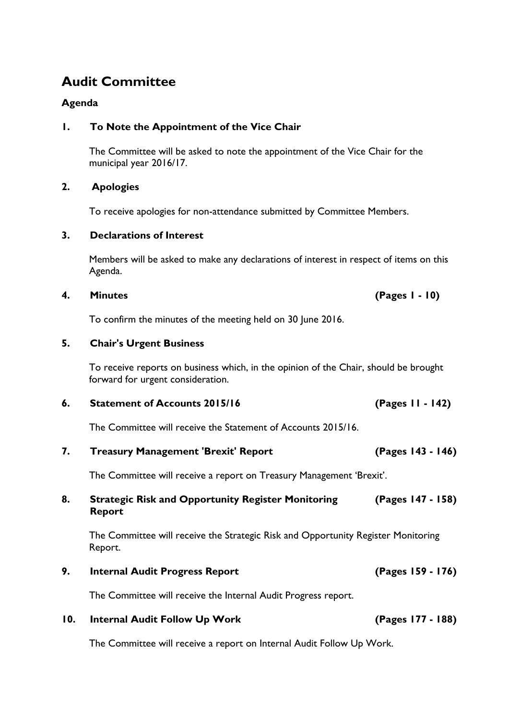# **Audit Committee**

### **Agenda**

### **1. To Note the Appointment of the Vice Chair**

The Committee will be asked to note the appointment of the Vice Chair for the municipal year 2016/17.

#### **2. Apologies**

To receive apologies for non-attendance submitted by Committee Members.

#### **3. Declarations of Interest**

Members will be asked to make any declarations of interest in respect of items on this Agenda.

#### **4. Minutes (Pages 1 - 10)**

To confirm the minutes of the meeting held on 30 June 2016.

#### **5. Chair's Urgent Business**

To receive reports on business which, in the opinion of the Chair, should be brought forward for urgent consideration.

#### **6. Statement of Accounts 2015/16 (Pages 11 - 142)**

The Committee will receive the Statement of Accounts 2015/16.

#### **7. Treasury Management 'Brexit' Report (Pages 143 - 146)**

The Committee will receive a report on Treasury Management 'Brexit'.

#### **8. Strategic Risk and Opportunity Register Monitoring Report (Pages 147 - 158)**

The Committee will receive the Strategic Risk and Opportunity Register Monitoring Report.

## **9. Internal Audit Progress Report (Pages 159 - 176)**

The Committee will receive the Internal Audit Progress report.

# **10. Internal Audit Follow Up Work (Pages 177 - 188)**

The Committee will receive a report on Internal Audit Follow Up Work.